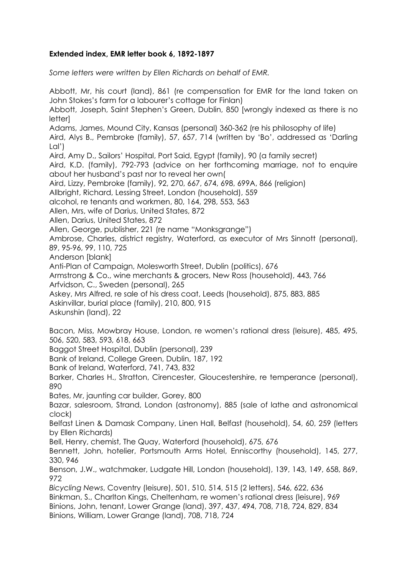## **Extended index, EMR letter book 6, 1892-1897**

*Some letters were written by Ellen Richards on behalf of EMR.*

Abbott, Mr, his court (land), 861 (re compensation for EMR for the land taken on John Stokes's farm for a labourer's cottage for Finlan) Abbott, Joseph, Saint Stephen's Green, Dublin, 850 [wrongly indexed as there is no **letterl** Adams, James, Mound City, Kansas (personal) 360-362 (re his philosophy of life) Aird, Alys B., Pembroke (family), 57, 657, 714 (written by 'Bo', addressed as 'Darling Lal') Aird, Amy D., Sailors' Hospital, Port Said, Egypt (family), 90 (a family secret) Aird, K.D. (family), 792-793 (advice on her forthcoming marriage, not to enquire about her husband's past nor to reveal her own( Aird, Lizzy, Pembroke (family), 92, 270, 667, 674, 698, 699A, 866 (religion) Allbright, Richard, Lessing Street, London (household), 559 alcohol, re tenants and workmen, 80, 164, 298, 553, 563 Allen, Mrs, wife of Darius, United States, 872 Allen, Darius, United States, 872 Allen, George, publisher, 221 (re name "Monksgrange") Ambrose, Charles, district registry, Waterford, as executor of Mrs Sinnott (personal), 89, 95-96, 99, 110, 725 Anderson [blank] Anti-Plan of Campaign, Molesworth Street, Dublin (politics), 676 Armstrong & Co., wine merchants & grocers, New Ross (household), 443, 766 Arfvidson, C., Sweden (personal), 265 Askey, Mrs Alfred, re sale of his dress coat, Leeds (household), 875, 883, 885 Askinvillar, burial place (family), 210, 800, 915 Askunshin (land), 22 Bacon, Miss, Mowbray House, London, re women's rational dress (leisure), 485, 495, 506, 520, 583, 593, 618, 663 Baggot Street Hospital, Dublin (personal), 239 Bank of Ireland, College Green, Dublin, 187, 192 Bank of Ireland, Waterford, 741, 743, 832 Barker, Charles H., Stratton, Cirencester, Gloucestershire, re temperance (personal), 890 Bates, Mr, jaunting car builder, Gorey, 800 Bazar, salesroom, Strand, London (astronomy), 885 (sale of lathe and astronomical clock) Belfast Linen & Damask Company, Linen Hall, Belfast (household), 54, 60, 259 (letters by Ellen Richards) Bell, Henry, chemist, The Quay, Waterford (household), 675, 676 Bennett, John, hotelier, Portsmouth Arms Hotel, Enniscorthy (household), 145, 277, 330, 946 Benson, J.W., watchmaker, Ludgate Hill, London (household), 139, 143, 149, 658, 869, 972 *Bicycling News*, Coventry (leisure), 501, 510, 514, 515 (2 letters), 546, 622, 636 Binkman, S., Charlton Kings, Cheltenham, re women's rational dress (leisure), 969 Binions, John, tenant, Lower Grange (land), 397, 437, 494, 708, 718, 724, 829, 834 Binions, William, Lower Grange (land), 708, 718, 724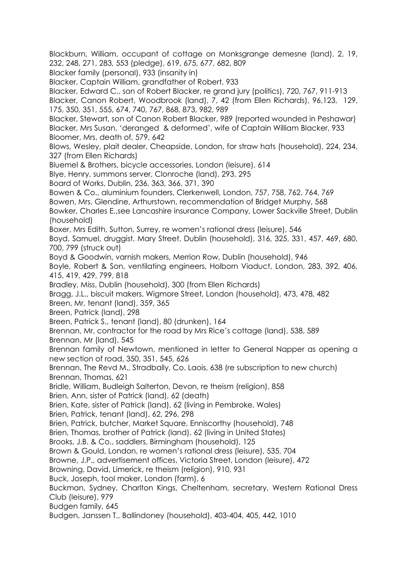Blackburn, William, occupant of cottage on Monksgrange demesne (land), 2, 19, 232, 248, 271, 283, 553 (pledge), 619, 675, 677, 682, 809 Blacker family (personal), 933 (insanity in) Blacker, Captain William, grandfather of Robert, 933 Blacker, Edward C., son of Robert Blacker, re grand jury (politics), 720, 767, 911-913 Blacker, Canon Robert, Woodbrook (land), 7, 42 (from Ellen Richards), 96,123, 129, 175, 350, 351, 555, 674, 740, 767, 868, 873, 982, 989 Blacker, Stewart, son of Canon Robert Blacker, 989 (reported wounded in Peshawar) Blacker, Mrs Susan, 'deranged & deformed', wife of Captain William Blacker, 933 Bloomer, Mrs, death of, 579, 642 Blows, Wesley, plait dealer, Cheapside, London, for straw hats (household), 224, 234, 327 (from Ellen Richards) Bluemel & Brothers, bicycle accessories, London (leisure), 614 Blye, Henry, summons server, Clonroche (land), 293, 295 Board of Works, Dublin, 236, 363, 366, 371, 390 Bowen & Co., aluminium founders, Clerkenwell, London, 757, 758, 762, 764, 769 Bowen, Mrs, Glendine, Arthurstown, recommendation of Bridget Murphy, 568 Bowker, Charles E.,see Lancashire insurance Company, Lower Sackville Street, Dublin (household) Boxer, Mrs Edith, Sutton, Surrey, re women's rational dress (leisure), 546 Boyd, Samuel, druggist, Mary Street, Dublin (household), 316, 325, 331, 457, 469, 680, 700, 799 (struck out) Boyd & Goodwin, varnish makers, Merrion Row, Dublin (household), 946 Boyle, Robert & Son, ventilating engineers, Holborn Viaduct, London, 283, 392, 406, 415, 419, 429, 799, 818 Bradley, Miss, Dublin (household), 300 (from Ellen Richards) Bragg, J.L., biscuit makers, Wigmore Street, London (household), 473, 478, 482 Breen, Mr, tenant (land), 359, 365 Breen, Patrick (land), 298 Breen, Patrick S., tenant (land), 80 (drunken), 164 Brennan, Mr, contractor for the road by Mrs Rice's cottage (land), 538, 589 Brennan, Mr (land), 545 Brennan family of Newtown, mentioned in letter to General Napper as opening a new section of road, 350, 351, 545, 626 Brennan, The Revd M., Stradbally, Co. Laois, 638 (re subscription to new church) Brennan, Thomas, 621 Bridle, William, Budleigh Salterton, Devon, re theism (religion), 858 Brien, Ann, sister of Patrick (land), 62 (death) Brien, Kate, sister of Patrick (land), 62 (living in Pembroke, Wales) Brien, Patrick, tenant (land), 62, 296, 298 Brien, Patrick, butcher, Market Square, Enniscorthy (household), 748 Brien, Thomas, brother of Patrick (land), 62 (living in United States) Brooks, J.B. & Co., saddlers, Birmingham (household), 125 Brown & Gould, London, re women's rational dress (leisure), 535, 704 Browne, J.P., advertisement offices, Victoria Street, London (leisure), 472 Browning, David, Limerick, re theism (religion), 910, 931 Buck, Joseph, tool maker, London (farm), 6 Buckman, Sydney, Charlton Kings, Cheltenham, secretary, Western Rational Dress Club (leisure), 979 Budgen family, 645 Budgen, Janssen T., Ballindoney (household), 403-404, 405, 442, 1010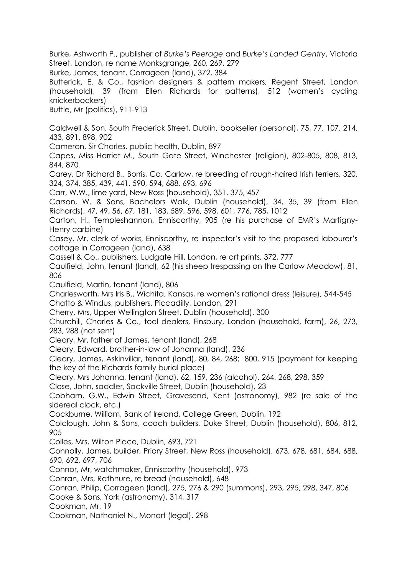Burke, Ashworth P., publisher of *Burke's Peerage* and *Burke's Landed Gentry*, Victoria Street, London, re name Monksgrange, 260, 269, 279

Burke, James, tenant, Corrageen (land), 372, 384

Butterick, E. & Co., fashion designers & pattern makers, Regent Street, London (household), 39 (from Ellen Richards for patterns), 512 (women's cycling knickerbockers)

Buttle, Mr (politics), 911-913

Caldwell & Son, South Frederick Street, Dublin, bookseller (personal), 75, 77, 107, 214, 433, 891, 898, 902

Cameron, Sir Charles, public health, Dublin, 897

Capes, Miss Harriet M., South Gate Street, Winchester (religion), 802-805, 808, 813, 844, 870

Carey, Dr Richard B., Borris, Co. Carlow, re breeding of rough-haired Irish terriers, 320, 324, 374, 385, 439, 441, 590, 594, 688, 693, 696

Carr, W.W., lime yard, New Ross (household), 351, 375, 457

Carson, W. & Sons, Bachelors Walk, Dublin (household), 34, 35, 39 (from Ellen Richards), 47, 49, 56, 67, 181, 183, 589, 596, 598, 601, 776, 785, 1012

Carton, H., Templeshannon, Enniscorthy, 905 (re his purchase of EMR's Martigny-Henry carbine)

Casey, Mr, clerk of works, Enniscorthy, re inspector's visit to the proposed labourer's cottage in Corrageen (land), 638

Cassell & Co., publishers, Ludgate Hill, London, re art prints, 372, 777

Caulfield, John, tenant (land), 62 (his sheep trespassing on the Carlow Meadow), 81, 806

Caulfield, Martin, tenant (land), 806

Charlesworth, Mrs Iris B., Wichita, Kansas, re women's rational dress (leisure), 544-545 Chatto & Windus, publishers, Piccadilly, London, 291

Cherry, Mrs, Upper Wellington Street, Dublin (household), 300

Churchill, Charles & Co., tool dealers, Finsbury, London (household, farm), 26, 273, 283, 288 (not sent)

Cleary, Mr, father of James, tenant (land), 268

Cleary, Edward, brother-in-law of Johanna (land), 236

Cleary, James, Askinvillar, tenant (land), 80, 84, 268; 800, 915 (payment for keeping the key of the Richards family burial place)

Cleary, Mrs Johanna, tenant (land), 62, 159, 236 (alcohol), 264, 268, 298, 359

Close, John, saddler, Sackville Street, Dublin (household), 23

Cobham, G.W., Edwin Street, Gravesend, Kent (astronomy), 982 (re sale of the sidereal clock, etc.)

Cockburne, William, Bank of Ireland, College Green, Dublin, 192

Colclough, John & Sons, coach builders, Duke Street, Dublin (household), 806, 812, 905

Colles, Mrs, Wilton Place, Dublin, 693, 721

Connolly, James, builder, Priory Street, New Ross (household), 673, 678, 681, 684, 688, 690, 692, 697, 706

Connor, Mr, watchmaker, Enniscorthy (household), 973

Conran, Mrs, Rathnure, re bread (household), 648

Conran, Philip, Corrageen (land), 275, 276 & 290 (summons), 293, 295, 298, 347, 806

Cooke & Sons, York (astronomy), 314, 317

Cookman, Mr, 19

Cookman, Nathaniel N., Monart (legal), 298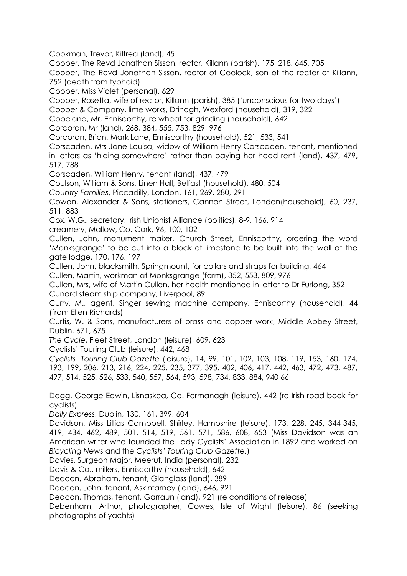Cookman, Trevor, Kiltrea (land), 45

Cooper, The Revd Jonathan Sisson, rector, Killann (parish), 175, 218, 645, 705

Cooper, The Revd Jonathan Sisson, rector of Coolock, son of the rector of Killann, 752 (death from typhoid)

Cooper, Miss Violet (personal), 629

Cooper, Rosetta, wife of rector, Killann (parish), 385 ('unconscious for two days')

Cooper & Company, lime works, Drinagh, Wexford (household), 319, 322

Copeland, Mr, Enniscorthy, re wheat for grinding (household), 642

Corcoran, Mr (land), 268, 384, 555, 753, 829, 976

Corcoran, Brian, Mark Lane, Enniscorthy (household), 521, 533, 541

Corscaden, Mrs Jane Louisa, widow of William Henry Corscaden, tenant, mentioned in letters as 'hiding somewhere' rather than paying her head rent (land), 437, 479, 517, 788

Corscaden, William Henry, tenant (land), 437, 479

Coulson, William & Sons, Linen Hall, Belfast (household), 480, 504

*Country Families*, Piccadilly, London, 161, 269, 280, 291

Cowan, Alexander & Sons, stationers, Cannon Street, London(household), 60, 237, 511, 883

Cox, W.G., secretary, Irish Unionist Alliance (politics), 8-9, 166. 914

creamery, Mallow, Co. Cork, 96, 100, 102

Cullen, John, monument maker, Church Street, Enniscorthy, ordering the word 'Monksgrange' to be cut into a block of limestone to be built into the wall at the gate lodge, 170, 176, 197

Cullen, John, blacksmith, Springmount, for collars and straps for building, 464 Cullen, Martin, workman at Monksgrange (farm), 352, 553, 809, 976

Cullen, Mrs, wife of Martin Cullen, her health mentioned in letter to Dr Furlong, 352 Cunard steam ship company, Liverpool, 89

Curry, M., agent, Singer sewing machine company, Enniscorthy (household), 44 (from Ellen Richards)

Curtis, W. & Sons, manufacturers of brass and copper work, Middle Abbey Street, Dublin, 671, 675

*The Cycle*, Fleet Street, London (leisure), 609, 623

Cyclists' Touring Club (leisure), 442, 468

*Cyclists' Touring Club Gazette* (leisure), 14, 99, 101, 102, 103, 108, 119, 153, 160, 174, 193, 199, 206, 213, 216, 224, 225, 235, 377, 395, 402, 406, 417, 442, 463, 472, 473, 487, 497, 514, 525, 526, 533, 540, 557, 564, 593, 598, 734, 833, 884, 940 66

Dagg, George Edwin, Lisnaskea, Co. Fermanagh (leisure), 442 (re Irish road book for cyclists)

*Daily Express*, Dublin, 130, 161, 399, 604

Davidson, Miss Lillias Campbell, Shirley, Hampshire (leisure), 173, 228, 245, 344-345, 419, 434, 462, 489, 501, 514, 519, 561, 571, 586, 608, 653 (Miss Davidson was an American writer who founded the Lady Cyclists' Association in 1892 and worked on *Bicycling News* and the *Cyclists' Touring Club Gazette.*)

Davies, Surgeon Major, Meerut, India (personal), 232

Davis & Co., millers, Enniscorthy (household), 642

Deacon, Abraham, tenant, Glanglass (land), 389

Deacon, John, tenant, Askinfarney (land), 646, 921

Deacon, Thomas, tenant, Garraun (land), 921 (re conditions of release)

Debenham, Arthur, photographer, Cowes, Isle of Wight (leisure), 86 (seeking photographs of yachts)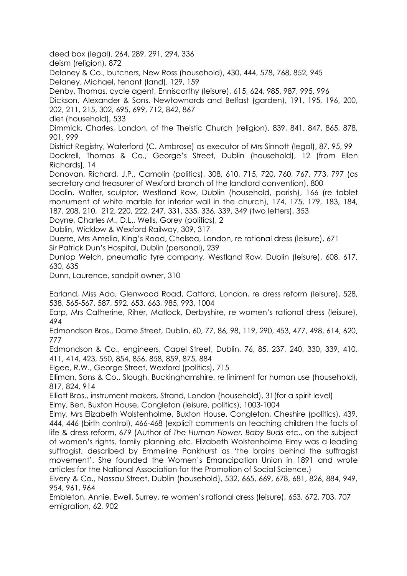deed box (legal), 264, 289, 291, 294, 336

deism (religion), 872

Delaney & Co., butchers, New Ross (household), 430, 444, 578, 768, 852, 945 Delaney, Michael, tenant (land), 129, 159

Denby, Thomas, cycle agent, Enniscorthy (leisure), 615, 624, 985, 987, 995, 996

Dickson, Alexander & Sons, Newtownards and Belfast (garden), 191, 195, 196, 200, 202, 211, 215, 302, 695, 699, 712, 842, 867

diet (household), 533

Dimmick, Charles, London, of the Theistic Church (religion), 839, 841, 847, 865, 878, 901, 999

District Registry, Waterford (C. Ambrose) as executor of Mrs Sinnott (legal), 87, 95, 99

Dockrell, Thomas & Co., George's Street, Dublin (household), 12 (from Ellen Richards], 14

Donovan, Richard, J.P., Camolin (politics), 308, 610, 715, 720, 760, 767, 773, 797 (as secretary and treasurer of Wexford branch of the landlord convention), 800

Doolin, Walter, sculptor, Westland Row, Dublin (household, parish), 166 (re tablet monument of white marble for interior wall in the church), 174, 175, 179, 183, 184, 187, 208, 210, 212, 220, 222, 247, 331, 335, 336, 339, 349 (two letters), 353

Doyne, Charles M., D.L., Wells, Gorey (politics), 2

Dublin, Wicklow & Wexford Railway, 309, 317

Duerre, Mrs Amelia, King's Road, Chelsea, London, re rational dress (leisure), 671

Sir Patrick Dun's Hospital, Dublin (personal), 239

Dunlop Welch, pneumatic tyre company, Westland Row, Dublin (leisure), 608, 617, 630, 635

Dunn, Laurence, sandpit owner, 310

Earland, Miss Ada, Glenwood Road, Catford, London, re dress reform (leisure), 528, 538, 565-567, 587, 592, 653, 663, 985, 993, 1004

Earp, Mrs Catherine, Riher, Matlock, Derbyshire, re women's rational dress (leisure), 494

Edmondson Bros., Dame Street, Dublin, 60, 77, 86, 98, 119, 290, 453, 477, 498, 614, 620, 777

Edmondson & Co., engineers, Capel Street, Dublin, 76, 85, 237, 240, 330, 339, 410, 411, 414, 423, 550, 854, 856, 858, 859, 875, 884

Elgee, R.W., George Street, Wexford (politics), 715

Elliman, Sons & Co., Slough, Buckinghamshire, re liniment for human use (household), 817, 824, 914

Elliott Bros., instrument makers, Strand, London (household), 31(for a spirit level)

Elmy, Ben, Buxton House, Congleton (leisure, politics), 1003-1004

Elmy, Mrs Elizabeth Wolstenholme, Buxton House, Congleton, Cheshire (politics), 439, 444, 446 (birth control), 466-468 (explicit comments on teaching children the facts of life & dress reform, 679 (Author of *The Human Flower, Baby Buds* etc., on the subject of women's rights, family planning etc. Elizabeth Wolstenholme Elmy was a leading suffragist, described by Emmeline Pankhurst as 'the brains behind the suffragist movement'. She founded the Women's Emancipation Union in 1891 and wrote articles for the National Association for the Promotion of Social Science.)

Elvery & Co., Nassau Street, Dublin (household), 532, 665, 669, 678, 681, 826, 884, 949, 954, 961, 964

Embleton, Annie, Ewell, Surrey, re women's rational dress (leisure), 653, 672, 703, 707 emigration, 62, 902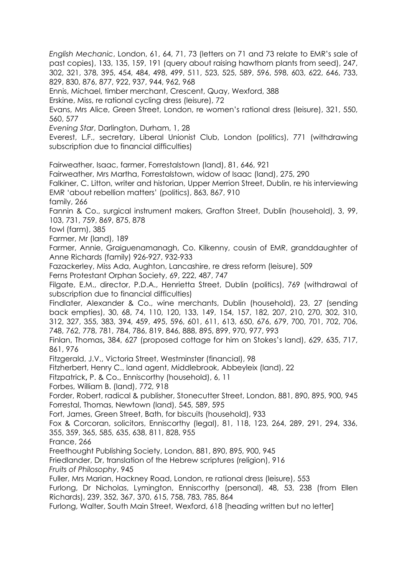302, 321, 378, 395, 454, 484, 498, 499, 511, 523, 525, 589, 596, 598, 603, 622, 646, 733, 829, 830, 876, 877, 922, 937, 944, 962, 968 Ennis, Michael, timber merchant, Crescent, Quay, Wexford, 388 Erskine, Miss, re rational cycling dress (leisure), 72 Evans, Mrs Alice, Green Street, London, re women's rational dress (leisure), 321, 550, 560, 577 *Evening Star*, Darlington, Durham, 1, 28 Everest, L.F., secretary, Liberal Unionist Club, London (politics), 771 (withdrawing subscription due to financial difficulties) Fairweather, Isaac, farmer, Forrestalstown (land), 81, 646, 921 Fairweather, Mrs Martha, Forrestalstown, widow of Isaac (land), 275, 290 Falkiner, C. Litton, writer and historian, Upper Merrion Street, Dublin, re his interviewing EMR 'about rebellion matters' (politics), 863, 867, 910 family, 266 Fannin & Co., surgical instrument makers, Grafton Street, Dublin (household), 3, 99, 103, 731, 759, 869, 875, 878 fowl (farm), 385 Farmer, Mr (land), 189 Farmer, Annie, Graiguenamanagh, Co. Kilkenny, cousin of EMR, granddaughter of Anne Richards (family) 926-927, 932-933 Fazackerley, Miss Ada, Aughton, Lancashire, re dress reform (leisure), 509 Ferns Protestant Orphan Society, 69, 222, 487, 747 Filgate, E.M., director, P.D.A., Henrietta Street, Dublin (politics), 769 (withdrawal of subscription due to financial difficulties) Findlater, Alexander & Co., wine merchants, Dublin (household), 23, 27 (sending back empties), 30, 68, 74, 110, 120, 133, 149, 154, 157, 182, 207, 210, 270, 302, 310, 312, 327, 355, 383, 394, 459, 495, 596, 601, 611, 613, 650, 676, 679, 700, 701, 702, 706, 748, 762, 778, 781, 784, 786, 819, 846, 888, 895, 899, 970, 977, 993 Finlan, Thomas**,** 384, 627 (proposed cottage for him on Stokes's land), 629, 635, 717, 861, 976 Fitzgerald, J.V., Victoria Street, Westminster (financial), 98 Fitzherbert, Henry C., land agent, Middlebrook, Abbeyleix (land), 22 Fitzpatrick**,** P. & Co., Enniscorthy (household), 6, 11 Forbes, William B. (land), 772, 918 Forder, Robert, radical & publisher, Stonecutter Street, London, 881, 890, 895, 900, 945 Forrestal, Thomas, Newtown (land), 545, 589, 595 Fort, James, Green Street, Bath, for biscuits (household), 933 Fox & Corcoran, solicitors, Enniscorthy (legal), 81, 118, 123, 264, 289, 291, 294, 336, 355, 359, 365, 585, 635, 638, 811, 828, 955 France, 266 Freethought Publishing Society, London, 881, 890, 895, 900, 945 Friedlander, Dr, translation of the Hebrew scriptures (religion), 916 *Fruits of Philosophy*, 945 Fuller, Mrs Marian, Hackney Road, London, re rational dress (leisure), 553 Furlong, Dr Nicholas, Lymington, Enniscorthy (personal), 48, 53, 238 (from Ellen Richards), 239, 352, 367, 370, 615, 758, 783, 785, 864 Furlong, Walter, South Main Street, Wexford, 618 [heading written but no letter]

*English Mechanic*, London, 61, 64, 71, 73 (letters on 71 and 73 relate to EMR's sale of past copies), 133, 135, 159, 191 (query about raising hawthorn plants from seed), 247,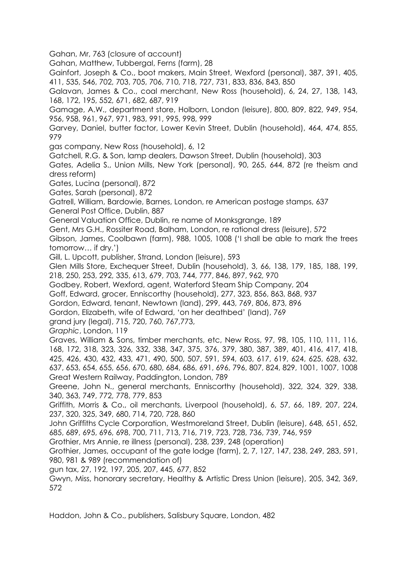Gahan, Mr, 763 (closure of account)

Gahan, Matthew, Tubbergal, Ferns (farm), 28

Gainfort, Joseph & Co., boot makers, Main Street, Wexford (personal), 387, 391, 405, 411, 535, 546, 702, 703, 705, 706, 710, 718, 727, 731, 833, 836, 843, 850

Galavan, James & Co., coal merchant, New Ross (household), 6, 24, 27, 138, 143, 168, 172, 195, 552, 671, 682, 687, 919

Gamage, A.W., department store, Holborn, London (leisure), 800, 809, 822, 949, 954, 956, 958, 961, 967, 971, 983, 991, 995, 998, 999

Garvey, Daniel, butter factor, Lower Kevin Street, Dublin (household), 464, 474, 855, 979

gas company, New Ross (household), 6, 12

Gatchell, R.G. & Son, lamp dealers, Dawson Street, Dublin (household), 303

Gates, Adelia S., Union Mills, New York (personal), 90, 265, 644, 872 (re theism and dress reform)

Gates, Lucina (personal), 872

Gates, Sarah (personal), 872

Gatrell, William, Bardowie, Barnes, London, re American postage stamps, 637 General Post Office, Dublin, 887

General Valuation Office, Dublin, re name of Monksgrange, 189

Gent, Mrs G.H., Rossiter Road, Balham, London, re rational dress (leisure), 572

Gibson, James, Coolbawn (farm), 988, 1005, 1008 ('I shall be able to mark the trees tomorrow… if dry.')

Gill, L. Upcott, publisher, Strand, London (leisure), 593

Glen Mills Store, Exchequer Street, Dublin (household), 3, 66, 138, 179, 185, 188, 199, 218, 250, 253, 292, 335, 613, 679, 703, 744, 777, 846, 897, 962, 970

Godbey, Robert, Wexford, agent, Waterford Steam Ship Company, 204

Goff, Edward, grocer, Enniscorthy (household), 277, 323, 856, 863, 868, 937

Gordon, Edward, tenant, Newtown (land), 299, 443, 769, 806, 873, 896

Gordon, Elizabeth, wife of Edward, 'on her deathbed' (land), 769

grand jury (legal), 715, 720, 760, 767,773,

*Graphic*, London, 119

Graves, William & Sons, timber merchants, etc, New Ross, 97, 98, 105, 110, 111, 116, 168, 172, 318, 323, 326, 332, 338, 347, 375, 376, 379, 380, 387, 389, 401, 416, 417, 418, 425, 426, 430, 432, 433, 471, 490, 500, 507, 591, 594, 603, 617, 619, 624, 625, 628, 632, 637, 653, 654, 655, 656, 670, 680, 684, 686, 691, 696, 796, 807, 824, 829, 1001, 1007, 1008 Great Western Railway, Paddington, London, 789

Greene, John N., general merchants, Enniscorthy (household), 322, 324, 329, 338, 340, 363, 749, 772, 778, 779, 853

Griffith, Morris & Co., oil merchants, Liverpool (household), 6, 57, 66, 189, 207, 224, 237, 320, 325, 349, 680, 714, 720, 728, 860

John Griffiths Cycle Corporation, Westmoreland Street, Dublin (leisure), 648, 651, 652, 685, 689, 695, 696, 698, 700, 711, 713, 716, 719, 723, 728, 736, 739, 746, 959

Grothier, Mrs Annie, re illness (personal), 238, 239, 248 (operation)

Grothier, James, occupant of the gate lodge (farm), 2, 7, 127, 147, 238, 249, 283, 591, 980, 981 & 989 (recommendation of)

gun tax, 27, 192, 197, 205, 207, 445, 677, 852

Gwyn, Miss, honorary secretary, Healthy & Artistic Dress Union (leisure), 205, 342, 369, 572

Haddon, John & Co., publishers, Salisbury Square, London, 482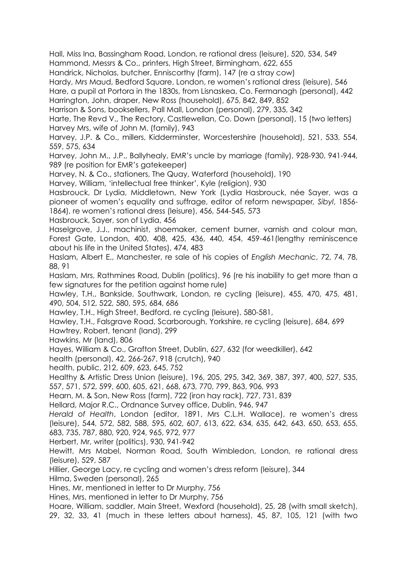Hall, Miss Ina, Bassingham Road, London, re rational dress (leisure), 520, 534, 549 Hammond, Messrs & Co., printers, High Street, Birmingham, 622, 655

Handrick, Nicholas, butcher, Enniscorthy (farm), 147 (re a stray cow)

Hardy, Mrs Maud, Bedford Square, London, re women's rational dress (leisure), 546 Hare, a pupil at Portora in the 1830s, from Lisnaskea, Co. Fermanagh (personal), 442 Harrington, John, draper, New Ross (household), 675, 842, 849, 852

Harrison & Sons, booksellers, Pall Mall, London (personal), 279, 335, 342

Harte, The Revd V., The Rectory, Castlewellan, Co. Down (personal), 15 (two letters) Harvey Mrs, wife of John M. (family), 943

Harvey, J.P. & Co., millers, Kidderminster, Worcestershire (household), 521, 533, 554, 559, 575, 634

Harvey, John M., J.P., Ballyhealy, EMR's uncle by marriage (family), 928-930, 941-944, 989 (re position for EMR's gatekeeper)

Harvey, N. & Co., stationers, The Quay, Waterford (household), 190

Harvey, William, 'intellectual free thinker', Kyle (religion), 930

Hasbrouck, Dr Lydia, Middletown, New York (Lydia Hasbrouck, née Sayer, was a pioneer of women's equality and suffrage, editor of reform newspaper*, Sibyl*, 1856- 1864), re women's rational dress (leisure), 456, 544-545, 573

Hasbrouck, Sayer, son of Lydia, 456

Haselgrove, J.J., machinist, shoemaker, cement burner, varnish and colour man, Forest Gate, London, 400, 408, 425, 436, 440, 454, 459-461(lengthy reminiscence about his life in the United States), 474, 483

Haslam, Albert E., Manchester, re sale of his copies of *English Mechanic*, 72, 74, 78, 88, 91

Haslam, Mrs, Rathmines Road, Dublin (politics), 96 (re his inability to get more than a few signatures for the petition against home rule)

Hawley, T.H., Bankside, Southwark, London, re cycling (leisure), 455, 470, 475, 481, 490, 504, 512, 522, 580, 595, 684, 686

Hawley, T.H., High Street, Bedford, re cycling (leisure), 580-581,

Hawley, T.H., Falsgrave Road, Scarborough, Yorkshire, re cycling (leisure), 684, 699 Hawtrey, Robert, tenant (land), 299

Hawkins, Mr (land), 806

Hayes, William & Co., Grafton Street, Dublin, 627, 632 (for weedkiller), 642

health (personal), 42, 266-267, 918 (crutch), 940

health, public, 212, 609, 623, 645, 752

Healthy & Artistic Dress Union (leisure), 196, 205, 295, 342, 369, 387, 397, 400, 527, 535, 557, 571, 572, 599, 600, 605, 621, 668, 673, 770, 799, 863, 906, 993

Hearn, M. & Son, New Ross (farm), 722 (iron hay rack), 727, 731, 839

Hellard, Major R.C., Ordnance Survey office, Dublin, 946, 947

*Herald of Health*, London (editor, 1891, Mrs C.L.H. Wallace), re women's dress (leisure), 544, 572, 582, 588, 595, 602, 607, 613, 622, 634, 635, 642, 643, 650, 653, 655, 683, 735, 787, 880, 920, 924, 965, 972, 977

Herbert, Mr, writer (politics), 930, 941-942

Hewitt, Mrs Mabel, Norman Road, South Wimbledon, London, re rational dress (leisure), 529, 587

Hillier, George Lacy, re cycling and women's dress reform (leisure), 344

Hilma, Sweden (personal), 265

Hines, Mr, mentioned in letter to Dr Murphy, 756

Hines, Mrs, mentioned in letter to Dr Murphy, 756

Hoare, William, saddler, Main Street, Wexford (household), 25, 28 (with small sketch), 29, 32, 33, 41 (much in these letters about harness), 45, 87, 105, 121 (with two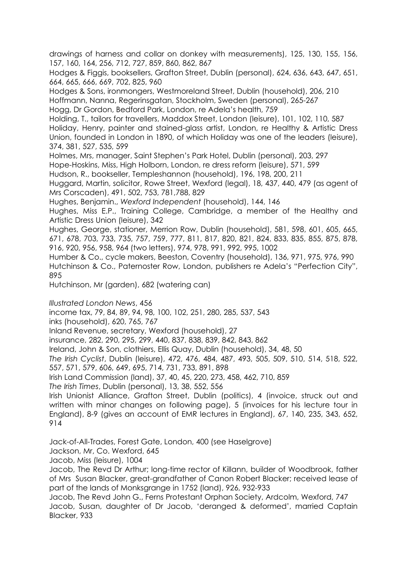drawings of harness and collar on donkey with measurements), 125, 130, 155, 156, 157, 160, 164, 256, 712, 727, 859, 860, 862, 867

Hodges & Figgis, booksellers, Grafton Street, Dublin (personal), 624, 636, 643, 647, 651, 664, 665, 666, 669, 702, 825, 960

Hodges & Sons, ironmongers, Westmoreland Street, Dublin (household), 206, 210 Hoffmann, Nanna, Regerinsgatan, Stockholm, Sweden (personal), 265-267

Hogg, Dr Gordon, Bedford Park, London, re Adela's health, 759

Holding, T., tailors for travellers, Maddox Street, London (leisure), 101, 102, 110, 587 Holiday, Henry, painter and stained-glass artist, London, re Healthy & Artistic Dress Union, founded in London in 1890, of which Holiday was one of the leaders (leisure), 374, 381, 527, 535, 599

Holmes, Mrs, manager, Saint Stephen's Park Hotel, Dublin (personal), 203, 297

Hope-Hoskins, Miss, High Holborn, London, re dress reform (leisure), 571, 599

Hudson, R., bookseller, Templeshannon (household), 196, 198, 200, 211

Huggard, Martin, solicitor, Rowe Street, Wexford (legal), 18, 437, 440, 479 (as agent of Mrs Corscaden), 491, 502, 753, 781,788, 829

Hughes, Benjamin., *Wexford Independent* (household), 144, 146

Hughes, Miss E.P., Training College, Cambridge, a member of the Healthy and Artistic Dress Union (leisure), 342

Hughes, George, stationer, Merrion Row, Dublin (household), 581, 598, 601, 605, 665, 671, 678, 703, 733, 735, 757, 759, 777, 811, 817, 820, 821, 824, 833, 835, 855, 875, 878, 916, 920, 956, 958, 964 (two letters), 974, 978, 991, 992, 995, 1002

Humber & Co., cycle makers, Beeston, Coventry (household), 136, 971, 975, 976, 990 Hutchinson & Co., Paternoster Row, London, publishers re Adela's "Perfection City", 895

Hutchinson, Mr (garden), 682 (watering can)

*Illustrated London News*, 456

income tax, 79, 84, 89, 94, 98, 100, 102, 251, 280, 285, 537, 543

inks (household), 620, 765, 767

Inland Revenue, secretary, Wexford (household), 27

insurance, 282, 290, 295, 299, 440, 837, 838, 839, 842, 843, 862

Ireland, John & Son, clothiers, Ellis Quay, Dublin (household), 34, 48, 50

*The Irish Cyclist*, Dublin (leisure), 472, 476, 484, 487, 493, 505, 509, 510, 514, 518, 522, 557, 571, 579, 606, 649, 695, 714, 731, 733, 891, 898

Irish Land Commission (land), 37, 40, 45, 220, 273, 458, 462, 710, 859

*The Irish Times*, Dublin (personal), 13, 38, 552, 556

Irish Unionist Alliance, Grafton Street, Dublin (politics), 4 (invoice, struck out and written with minor changes on following page), 5 (invoices for his lecture tour in England), 8-9 (gives an account of EMR lectures in England), 67, 140, 235, 343, 652, 914

Jack-of-All-Trades, Forest Gate, London, 400 (see Haselgrove)

Jackson, Mr, Co. Wexford, 645

Jacob, Miss (leisure), 1004

Jacob, The Revd Dr Arthur; long-time rector of Killann, builder of Woodbrook, father of Mrs Susan Blacker, great-grandfather of Canon Robert Blacker; received lease of part of the lands of Monksgrange in 1752 (land), 926, 932-933

Jacob, The Revd John G., Ferns Protestant Orphan Society, Ardcolm, Wexford, 747 Jacob, Susan, daughter of Dr Jacob, 'deranged & deformed', married Captain Blacker, 933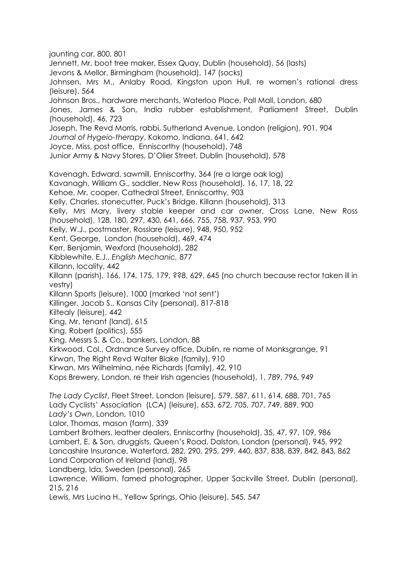jaunting car, 800, 801 Jennett, Mr, boot tree maker, Essex Quay, Dublin (household), 56 (lasts) Jevons & Mellor, Birmingham (household), 147 (socks) Johnsen, Mrs M., Anlaby Road, Kingston upon Hull, re women's rational dress (leisure), 564 Johnson Bros., hardware merchants, Waterloo Place, Pall Mall, London, 680 Jones, James & Son, India rubber establishment, Parliament Street, Dublin (household), 46, 723 Joseph, The Revd Morris, rabbi, Sutherland Avenue, London (religion), 901, 904 *Journal of Hygeio-therapy*, Kokomo, Indiana, 641, 642 Joyce, Miss, post office, Enniscorthy (household), 748 Junior Army & Navy Stores, D'Olier Street, Dublin (household), 578 Kavenagh, Edward, sawmill, Enniscorthy, 364 (re a large oak log) Kavanagh, William G., saddler, New Ross (household), 16, 17, 18, 22 Kehoe, Mr, cooper, Cathedral Street, Enniscorthy, 903 Kelly, Charles, stonecutter, Puck's Bridge, Killann (household), 313 Kelly, Mrs Mary, livery stable keeper and car owner, Cross Lane, New Ross (household), 128, 180, 297, 430, 641, 666, 755, 758, 937, 953, 990 Kelly, W.J., postmaster, Rosslare (leisure), 948, 950, 952 Kent, George, London (household), 469, 474 Kerr, Benjamin, Wexford (household), 282 Kibblewhite, E.J., *English Mechanic,* 877 Killann, locality, 442 Killann (parish), 166, 174, 175, 179, ??8, 629, 645 (no church because rector taken ill in vestry) Killann Sports (leisure), 1000 (marked 'not sent') Killinger, Jacob S., Kansas City (personal), 817-818 Kiltealy (leisure), 442 King, Mr, tenant (land), 615 King, Robert (politics), 555 King, Messrs S. & Co., bankers, London, 88 Kirkwood, Col., Ordnance Survey office, Dublin, re name of Monksgrange, 91 Kirwan, The Right Revd Walter Blake (family), 910 Kirwan, Mrs Wilhelmina, née Richards (family), 42, 910 Kops Brewery, London, re their Irish agencies (household), 1, 789, 796, 949 *The Lady Cyclist*, Fleet Street, London (leisure), 579, 587, 611, 614, 688, 701, 765 Lady Cyclists' Association (LCA) (leisure), 653, 672, 705, 707, 749, 889, 900 *Lady's Own*, London, 1010 Lalor, Thomas, mason (farm), 339 Lambert Brothers, leather dealers, Enniscorthy (household), 35, 47, 97, 109, 986 Lambert, E. & Son, druggists, Queen's Road, Dalston, London (personal), 945, 992 Lancashire Insurance, Waterford, 282, 290, 295, 299, 440, 837, 838, 839, 842, 843, 862 Land Corporation of Ireland (land), 98 Landberg, Ida, Sweden (personal), 265 Lawrence, William, famed photographer, Upper Sackville Street, Dublin (personal), 215, 216 Lewis, Mrs Lucina H., Yellow Springs, Ohio (leisure), 545, 547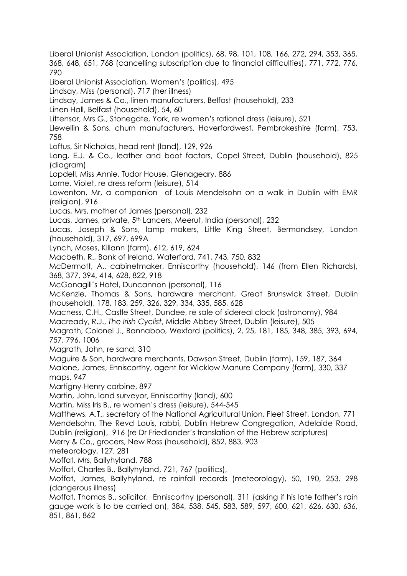Liberal Unionist Association, London (politics), 68, 98, 101, 108, 166, 272, 294, 353, 365, 368, 648, 651, 768 (cancelling subscription due to financial difficulties), 771, 772, 776, 790 Liberal Unionist Association, Women's (politics), 495 Lindsay, Miss (personal), 717 (her illness) Lindsay, James & Co., linen manufacturers, Belfast (household), 233 Linen Hall, Belfast (household), 54, 60 Littensor, Mrs G., Stonegate, York, re women's rational dress (leisure), 521 Llewellin & Sons, churn manufacturers, Haverfordwest, Pembrokeshire (farm), 753, 758 Loftus, Sir Nicholas, head rent (land), 129, 926 Long, E.J. & Co., leather and boot factors, Capel Street, Dublin (household), 825 (diagram) Lopdell, Miss Annie, Tudor House, Glenageary, 886 Lorne, Violet, re dress reform (leisure), 514 Lowenton, Mr, a companion of Louis Mendelsohn on a walk in Dublin with EMR (religion), 916 Lucas, Mrs, mother of James (personal), 232 Lucas, James, private, 5<sup>th</sup> Lancers, Meerut, India (personal), 232 Lucas, Joseph & Sons, lamp makers, Little King Street, Bermondsey, London (household), 317, 697, 699A Lynch, Moses, Killann (farm), 612, 619, 624 Macbeth, R., Bank of Ireland, Waterford, 741, 743, 750, 832 McDermott, A., cabinetmaker, Enniscorthy (household), 146 (from Ellen Richards), 368, 377, 394, 414, 628, 822, 918 McGonagill's Hotel, Duncannon (personal), 116 McKenzie, Thomas & Sons, hardware merchant, Great Brunswick Street, Dublin (household), 178, 183, 259, 326, 329, 334, 335, 585, 628 Macness, C.H., Castle Street, Dundee, re sale of sidereal clock (astronomy), 984 Macready, R.J., *The Irish Cyclist*, Middle Abbey Street, Dublin (leisure), 505 Magrath, Colonel J., Bannaboo, Wexford (politics), 2, 25, 181, 185, 348, 385, 393, 694, 757, 796, 1006 Magrath, John, re sand, 310 Maguire & Son, hardware merchants, Dawson Street, Dublin (farm), 159, 187, 364 Malone, James, Enniscorthy, agent for Wicklow Manure Company (farm), 330, 337 maps, 947 Martigny-Henry carbine, 897 Martin, John, land surveyor, Enniscorthy (land), 600 Martin, Miss Iris B., re women's dress (leisure), 544-545 Matthews, A.T., secretary of the National Agricultural Union, Fleet Street, London, 771 Mendelsohn, The Revd Louis, rabbi, Dublin Hebrew Congregation, Adelaide Road, Dublin (religion), 916 (re Dr Friedlander's translation of the Hebrew scriptures) Merry & Co., grocers, New Ross (household), 852, 883, 903 meteorology, 127, 281 Moffat, Mrs, Ballyhyland, 788 Moffat, Charles B., Ballyhyland, 721, 767 (politics), Moffat, James, Ballyhyland, re rainfall records (meteorology), 50, 190, 253, 298 (dangerous illness) Moffat, Thomas B., solicitor, Enniscorthy (personal), 311 (asking if his late father's rain gauge work is to be carried on), 384, 538, 545, 583, 589, 597, 600, 621, 626, 630, 636, 851, 861, 862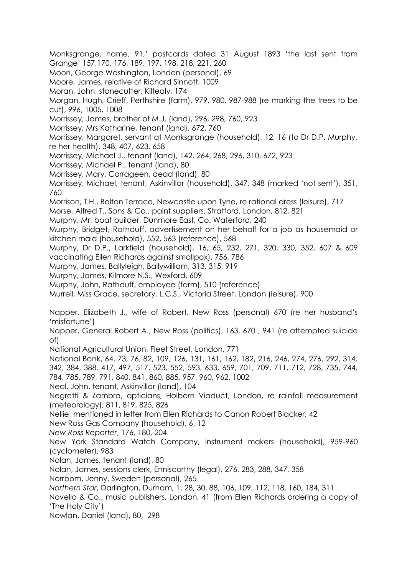Monksgrange, name, 91,' postcards dated 31 August 1893 'the last sent from Grange' 157,170, 176, 189, 197, 198, 218, 221, 260 Moon, George Washington, London (personal), 69 Moore, James, relative of Richard Sinnott, 1009 Moran, John, stonecutter, Kiltealy, 174 Morgan, Hugh, Crieff, Perthshire (farm), 979, 980, 987-988 (re marking the trees to be cut), 996, 1005, 1008 Morrissey, James, brother of M.J. (land), 296, 298, 760, 923 Morrissey, Mrs Katharine, tenant (land), 672, 760 Morrissey, Margaret, servant at Monksgrange (household), 12, 16 (to Dr D.P. Murphy, re her health), 348, 407, 623, 658 Morrissey, Michael J., tenant (land), 142, 264, 268, 296, 310, 672, 923 Morrissey, Michael P., tenant (land), 80 Morrissey, Mary, Corrageen, dead (land), 80 Morrissey, Michael, tenant, Askinvillar (household), 347, 348 (marked 'not sent'), 351, 760 Morrison, T.H., Bolton Terrace, Newcastle upon Tyne, re rational dress (leisure), 717 Morse, Alfred T., Sons & Co., paint suppliers, Stratford, London, 812, 821 Murphy, Mr, boat builder, Dunmore East, Co. Waterford, 240 Murphy, Bridget, Rathduff, advertisement on her behalf for a job as housemaid or kitchen maid (household), 552, 563 (reference), 568 Murphy, Dr D.P., Larkfield (household), 16, 65, 232, 271, 320, 330, 352, 607 & 609 vaccinating Ellen Richards against smallpox), 756, 786 Murphy, James, Ballyleigh, Ballywilliam, 313, 315, 919 Murphy, James, Kilmore N.S., Wexford, 609 Murphy, John, Rathduff, employee (farm), 510 (reference) Murrell, Miss Grace, secretary, L.C.S., Victoria Street, London (leisure), 900 Napper, Elizabeth J., wife of Robert, New Ross (personal) 670 (re her husband's 'misfortune') Napper, General Robert A., New Ross (politics), 163, 670 , 941 (re attempted suicide of) National Agricultural Union, Fleet Street, London, 771 National Bank, 64, 73, 76, 82, 109, 126, 131, 161, 162, 182, 216, 246, 274, 276, 292, 314, 342, 384, 388, 417, 497, 517, 523, 552, 593, 633, 659, 701, 709, 711, 712, 728, 735, 744, 784, 785, 789, 791, 840, 841, 860, 885, 957, 960, 962, 1002 Neal, John, tenant, Askinvillar (land), 104 Negretti & Zambra, opticians, Holborn Viaduct, London, re rainfall measurement (meteorology), 811, 819, 825, 826 Nellie, mentioned in letter from Ellen Richards to Canon Robert Blacker, 42 New Ross Gas Company (household), 6, 12 *New Ross Reporter*, 176, 180, 204 New York Standard Watch Company, instrument makers (household), 959-960 (cyclometer), 983 Nolan, James, tenant (land), 80 Nolan, James, sessions clerk, Enniscorthy (legal), 276, 283, 288, 347, 358 Norrbom, Jenny, Sweden (personal), 265 *Northern Star*, Darlington, Durham, 1, 28, 30, 88, 106, 109, 112, 118, 160, 184, 311 Novello & Co., music publishers, London, 41 (from Ellen Richards ordering a copy of 'The Holy City') Nowlan, Daniel (land), 80, 298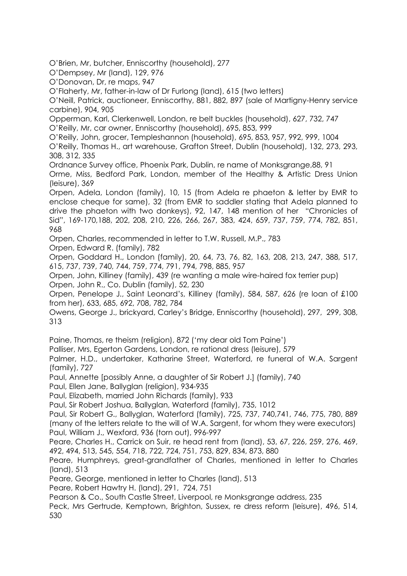O'Brien, Mr, butcher, Enniscorthy (household), 277

O'Dempsey, Mr (land), 129, 976

O'Donovan, Dr, re maps, 947

O'Flaherty, Mr, father-in-law of Dr Furlong (land), 615 (two letters)

O'Neill, Patrick, auctioneer, Enniscorthy, 881, 882, 897 (sale of Martigny-Henry service carbine), 904, 905

Opperman, Karl, Clerkenwell, London, re belt buckles (household), 627, 732, 747 O'Reilly, Mr, car owner, Enniscorthy (household), 695, 853, 999

O'Reilly, John, grocer, Templeshannon (household), 695, 853, 957, 992, 999, 1004 O'Reilly, Thomas H., art warehouse, Grafton Street, Dublin (household), 132, 273, 293, 308, 312, 335

Ordnance Survey office, Phoenix Park, Dublin, re name of Monksgrange,88, 91 Orme, Miss, Bedford Park, London, member of the Healthy & Artistic Dress Union (leisure), 369

Orpen, Adela, London (family), 10, 15 (from Adela re phaeton & letter by EMR to enclose cheque for same), 32 (from EMR to saddler stating that Adela planned to drive the phaeton with two donkeys), 92, 147, 148 mention of her "Chronicles of Sid", 169-170,188, 202, 208, 210, 226, 266, 267, 383, 424, 659, 737, 759, 774, 782, 851, 968

Orpen, Charles, recommended in letter to T.W. Russell, M.P., 783

Orpen, Edward R. (family), 782

Orpen, Goddard H., London (family), 20, 64, 73, 76, 82, 163, 208, 213, 247, 388, 517, 615, 737, 739, 740, 744, 759, 774, 791, 794, 798, 885, 957

Orpen, John, Killiney (family), 439 (re wanting a male wire-haired fox terrier pup) Orpen, John R., Co. Dublin (family), 52, 230

Orpen, Penelope J., Saint Leonard's, Killiney (family), 584, 587, 626 (re loan of £100 from her), 633, 685, 692, 708, 782, 784

Owens, George J., brickyard, Carley's Bridge, Enniscorthy (household), 297, 299, 308, 313

Paine, Thomas, re theism (religion), 872 ('my dear old Tom Paine')

Palliser, Mrs, Egerton Gardens, London, re rational dress (leisure), 579

Palmer, H.D., undertaker, Katharine Street, Waterford, re funeral of W.A. Sargent (family), 727

Paul, Annette [possibly Anne, a daughter of Sir Robert J.] (family), 740

Paul, Ellen Jane, Ballyglan (religion), 934-935

Paul, Elizabeth, married John Richards (family), 933

Paul, Sir Robert Joshua, Ballyglan, Waterford (family), 735, 1012

Paul, Sir Robert G., Ballyglan, Waterford (family), 725, 737, 740,741, 746, 775, 780, 889 (many of the letters relate to the will of W.A. Sargent, for whom they were executors) Paul, William J., Wexford, 936 (torn out), 996-997

Peare, Charles H., Carrick on Suir, re head rent from (land), 53, 67, 226, 259, 276, 469, 492, 494, 513, 545, 554, 718, 722, 724, 751, 753, 829, 834, 873, 880

Peare, Humphreys, great-grandfather of Charles, mentioned in letter to Charles (land), 513

Peare, George, mentioned in letter to Charles (land), 513

Peare, Robert Hawtry H. (land), 291, 724, 751

Pearson & Co., South Castle Street, Liverpool, re Monksgrange address, 235

Peck, Mrs Gertrude, Kemptown, Brighton, Sussex, re dress reform (leisure), 496, 514, 530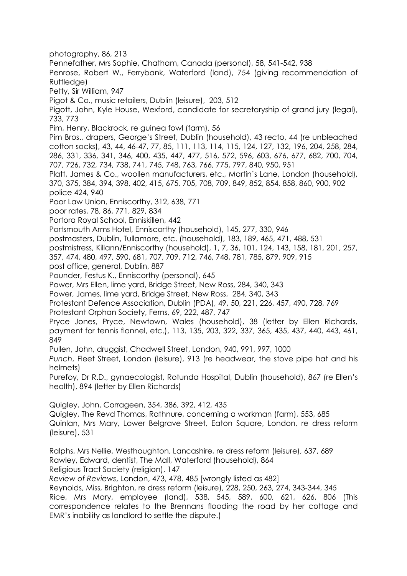photography, 86, 213 Pennefather, Mrs Sophie, Chatham, Canada (personal), 58, 541-542, 938 Penrose, Robert W., Ferrybank, Waterford (land), 754 (giving recommendation of Ruttledge) Petty, Sir William, 947 Pigot & Co., music retailers, Dublin (leisure), 203, 512 Pigott, John, Kyle House, Wexford, candidate for secretaryship of grand jury (legal), 733, 773 Pim, Henry, Blackrock, re guinea fowl (farm), 56 Pim Bros., drapers, George's Street, Dublin (household), 43 recto, 44 (re unbleached cotton socks), 43, 44, 46-47, 77, 85, 111, 113, 114, 115, 124, 127, 132, 196, 204, 258, 284, 286, 331, 336, 341, 346, 400, 435, 447, 477, 516, 572, 596, 603, 676, 677, 682, 700, 704, 707, 726, 732, 734, 738, 741, 745, 748, 763, 766, 775, 797, 840, 950, 951 Platt, James & Co., woollen manufacturers, etc., Martin's Lane, London (household), 370, 375, 384, 394, 398, 402, 415, 675, 705, 708, 709, 849, 852, 854, 858, 860, 900, 902 police 424, 940 Poor Law Union, Enniscorthy, 312, 638, 771 poor rates, 78, 86, 771, 829, 834 Portora Royal School, Enniskillen, 442 Portsmouth Arms Hotel, Enniscorthy (household), 145, 277, 330, 946 postmasters, Dublin, Tullamore, etc. (household), 183, 189, 465, 471, 488, 531 postmistress, Killann/Enniscorthy (household), 1, 7, 36, 101, 124, 143, 158, 181, 201, 257, 357, 474, 480, 497, 590, 681, 707, 709, 712, 746, 748, 781, 785, 879, 909, 915 post office, general, Dublin, 887 Pounder, Festus K., Enniscorthy (personal), 645 Power, Mrs Ellen, lime yard, Bridge Street, New Ross, 284, 340, 343 Power, James, lime yard, Bridge Street, New Ross, 284, 340, 343 Protestant Defence Association, Dublin (PDA), 49, 50, 221, 226, 457, 490, 728, 769 Protestant Orphan Society, Ferns, 69, 222, 487, 747 Pryce Jones, Pryce, Newtown, Wales (household), 38 (letter by Ellen Richards, payment for tennis flannel, etc.), 113, 135, 203, 322, 337, 365, 435, 437, 440, 443, 461, 849 Pullen, John, druggist, Chadwell Street, London, 940, 991, 997, 1000 *Punch*, Fleet Street, London (leisure), 913 (re headwear, the stove pipe hat and his helmets) Purefoy, Dr R.D., gynaecologist, Rotunda Hospital, Dublin (household), 867 (re Ellen's health), 894 (letter by Ellen Richards) Quigley, John, Corrageen, 354, 386, 392, 412, 435 Quigley, The Revd Thomas, Rathnure, concerning a workman (farm), 553, 685 Quinlan, Mrs Mary, Lower Belgrave Street, Eaton Square, London, re dress reform (leisure), 531 Ralphs, Mrs Nellie, Westhoughton, Lancashire, re dress reform (leisure), 637, 689 Rawley, Edward, dentist, The Mall, Waterford (household), 864 Religious Tract Society (religion), 147 *Review of Reviews*, London, 473, 478, 485 [wrongly listed as 482] Reynolds, Miss, Brighton, re dress reform (leisure), 228, 250, 263, 274, 343-344, 345 Rice, Mrs Mary, employee (land), 538, 545, 589, 600, 621, 626, 806 (This correspondence relates to the Brennans flooding the road by her cottage and EMR's inability as landlord to settle the dispute.)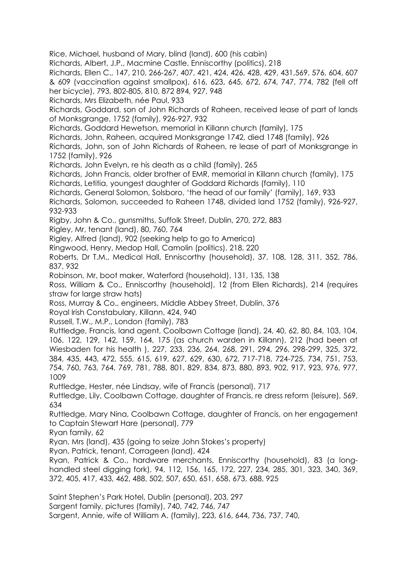Rice, Michael, husband of Mary, blind (land), 600 (his cabin)

Richards, Albert, J.P., Macmine Castle, Enniscorthy (politics), 218

Richards, Ellen C., 147, 210, 266-267, 407, 421, 424, 426, 428, 429, 431,569, 576, 604, 607 & 609 (vaccination against smallpox), 616, 623, 645, 672, 674, 747, 774, 782 (fell off her bicycle), 793, 802-805, 810, 872 894, 927, 948

Richards, Mrs Elizabeth, née Paul, 933

Richards, Goddard, son of John Richards of Raheen, received lease of part of lands of Monksgrange, 1752 (family), 926-927, 932

Richards, Goddard Hewetson, memorial in Killann church (family), 175

Richards, John, Raheen, acquired Monksgrange 1742, died 1748 (family), 926

Richards, John, son of John Richards of Raheen, re lease of part of Monksgrange in 1752 (family), 926

Richards, John Evelyn, re his death as a child (family), 265

Richards, John Francis, older brother of EMR, memorial in Killann church (family), 175 Richards, Letitia, youngest daughter of Goddard Richards (family), 110

Richards, General Solomon, Solsboro, 'the head of our family' (family), 169, 933

Richards, Solomon, succeeded to Raheen 1748, divided land 1752 (family), 926-927, 932-933

Rigby, John & Co., gunsmiths, Suffolk Street, Dublin, 270, 272, 883

Rigley, Mr, tenant (land), 80, 760, 764

Rigley, Alfred (land), 902 (seeking help to go to America)

Ringwood, Henry, Medop Hall, Camolin (politics), 218, 220

Roberts, Dr T.M., Medical Hall, Enniscorthy (household), 37, 108, 128, 311, 352, 786, 837, 932

Robinson, Mr, boot maker, Waterford (household), 131, 135, 138

Ross, William & Co., Enniscorthy (household), 12 (from Ellen Richards), 214 (requires straw for large straw hats)

Ross, Murray & Co., engineers, Middle Abbey Street, Dublin, 376

Royal Irish Constabulary, Killann, 424, 940

Russell, T.W., M.P., London (family), 783

Ruttledge, Francis, land agent, Coolbawn Cottage (land), 24, 40, 62, 80, 84, 103, 104, 106, 122, 129, 142, 159, 164, 175 (as church warden in Killann), 212 (had been at Wiesbaden for his health ), 227, 233, 236, 264, 268, 291, 294, 296, 298-299, 325, 372, 384, 435, 443, 472, 555, 615, 619, 627, 629, 630, 672, 717-718, 724-725, 734, 751, 753, 754, 760, 763, 764, 769, 781, 788, 801, 829, 834, 873, 880, 893, 902, 917, 923, 976, 977, 1009

Ruttledge, Hester, née Lindsay, wife of Francis (personal), 717

Ruttledge, Lily, Coolbawn Cottage, daughter of Francis, re dress reform (leisure), 569, 634

Ruttledge, Mary Nina, Coolbawn Cottage, daughter of Francis, on her engagement to Captain Stewart Hare (personal), 779

Ryan family, 62

Ryan, Mrs (land), 435 (going to seize John Stokes's property)

Ryan, Patrick, tenant, Corrageen (land), 424

Ryan, Patrick & Co., hardware merchants, Enniscorthy (household), 83 (a longhandled steel digging fork), 94, 112, 156, 165, 172, 227, 234, 285, 301, 323, 340, 369, 372, 405, 417, 433, 462, 488, 502, 507, 650, 651, 658, 673, 688, 925

Saint Stephen's Park Hotel, Dublin (personal), 203, 297

Sargent family, pictures (family), 740, 742, 746, 747

Sargent, Annie, wife of William A. (family), 223, 616, 644, 736, 737, 740,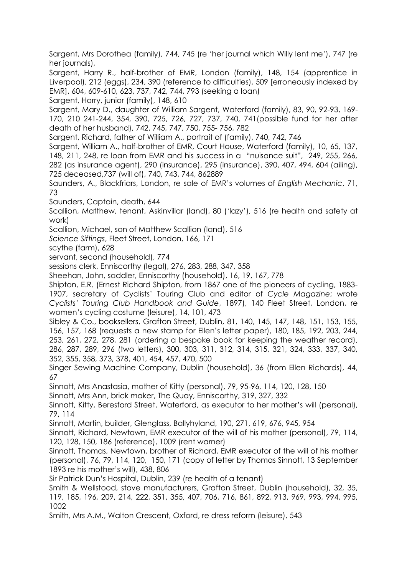Sargent, Mrs Dorothea (family), 744, 745 (re 'her journal which Willy lent me'), 747 (re her journals),

Sargent, Harry R., half-brother of EMR, London (family), 148, 154 (apprentice in Liverpool), 212 (eggs), 234, 390 (reference to difficulties), 509 [erroneously indexed by EMR], 604, 609-610, 623, 737, 742, 744, 793 (seeking a loan)

Sargent, Harry, junior (family), 148, 610

Sargent, Mary D., daughter of William Sargent, Waterford (family), 83, 90, 92-93, 169- 170, 210 241-244, 354, 390, 725, 726, 727, 737, 740, 741(possible fund for her after death of her husband), 742, 745, 747, 750, 755- 756, 782

Sargent, Richard, father of William A., portrait of (family), 740, 742, 746

Sargent, William A., half-brother of EMR, Court House, Waterford (family), 10, 65, 137, 148, 211, 248, re loan from EMR and his success in a "nuisance suit", 249, 255, 266, 282 (as insurance agent), 290 (insurance), 295 (insurance), 390, 407, 494, 604 (ailing), 725 deceased,737 (will of), 740, 743, 744, 862889

Saunders, A., Blackfriars, London, re sale of EMR's volumes of *English Mechanic*, 71, 73

Saunders, Captain, death, 644

Scallion, Matthew, tenant, Askinvillar (land), 80 ('lazy'), 516 (re health and safety at work)

Scallion, Michael, son of Matthew Scallion (land), 516

*Science Siftings*, Fleet Street, London, 166, 171

scythe (farm), 628

servant, second (household), 774

sessions clerk, Enniscorthy (legal), 276, 283, 288, 347, 358

Sheehan, John, saddler, Enniscorthy (household), 16, 19, 167, 778

Shipton, E.R. (Ernest Richard Shipton, from 1867 one of the pioneers of cycling, 1883- 1907, secretary of Cyclists' Touring Club and editor of *Cycle Magazine*; wrote *Cyclists' Touring Club Handbook and Guide*, 1897), 140 Fleet Street, London, re women's cycling costume (leisure), 14, 101, 473

Sibley & Co., booksellers, Grafton Street, Dublin, 81, 140, 145, 147, 148, 151, 153, 155, 156, 157, 168 (requests a new stamp for Ellen's letter paper), 180, 185, 192, 203, 244, 253, 261, 272, 278, 281 (ordering a bespoke book for keeping the weather record), 286, 287, 289, 296 (two letters), 300, 303, 311, 312, 314, 315, 321, 324, 333, 337, 340, 352, 355, 358, 373, 378, 401, 454, 457, 470, 500

Singer Sewing Machine Company, Dublin (household), 36 (from Ellen Richards), 44, 67

Sinnott, Mrs Anastasia, mother of Kitty (personal), 79, 95-96, 114, 120, 128, 150

Sinnott, Mrs Ann, brick maker, The Quay, Enniscorthy, 319, 327, 332

Sinnott, Kitty, Beresford Street, Waterford, as executor to her mother's will (personal), 79, 114

Sinnott, Martin, builder, Glenglass, Ballyhyland, 190, 271, 619, 676, 945, 954

Sinnott, Richard, Newtown, EMR executor of the will of his mother (personal), 79, 114, 120, 128, 150, 186 (reference), 1009 (rent warner)

Sinnott, Thomas, Newtown, brother of Richard, EMR executor of the will of his mother (personal), 76, 79, 114, 120, 150, 171 (copy of letter by Thomas Sinnott, 13 September 1893 re his mother's will), 438, 806

Sir Patrick Dun's Hospital, Dublin, 239 (re health of a tenant)

Smith & Wellstood, stove manufacturers, Grafton Street, Dublin (household), 32, 35, 119, 185, 196, 209, 214, 222, 351, 355, 407, 706, 716, 861, 892, 913, 969, 993, 994, 995, 1002

Smith, Mrs A.M., Walton Crescent, Oxford, re dress reform (leisure), 543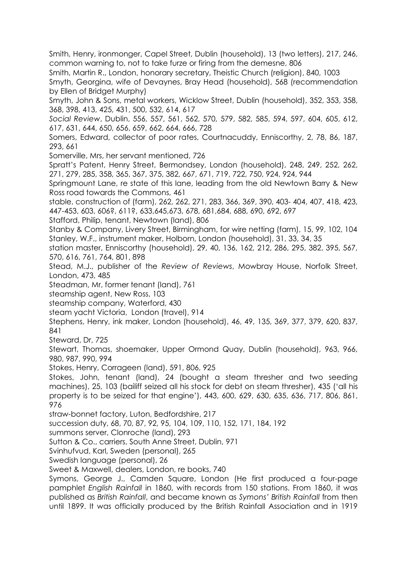Smith, Henry, ironmonger, Capel Street, Dublin (household), 13 (two letters), 217, 246, common warning to, not to take furze or firing from the demesne, 806

Smith, Martin R., London, honorary secretary, Theistic Church (religion), 840, 1003

Smyth, Georgina, wife of Devaynes, Bray Head (household), 568 (recommendation by Ellen of Bridget Murphy)

Smyth, John & Sons, metal workers, Wicklow Street, Dublin (household), 352, 353, 358, 368, 398, 413, 425, 431, 500, 532, 614, 617

*Social Review*, Dublin, 556, 557, 561, 562, 570, 579, 582, 585, 594, 597, 604, 605, 612, 617, 631, 644, 650, 656, 659, 662, 664, 666, 728

Somers, Edward, collector of poor rates, Courtnacuddy, Enniscorthy, 2, 78, 86, 187, 293, 661

Somerville, Mrs, her servant mentioned, 726

Spratt's Patent, Henry Street, Bermondsey, London (household), 248, 249, 252, 262, 271, 279, 285, 358, 365, 367, 375, 382, 667, 671, 719, 722, 750, 924, 924, 944

Springmount Lane, re state of this lane, leading from the old Newtown Barry & New Ross road towards the Commons, 461

stable, construction of (farm), 262, 262, 271, 283, 366, 369, 390, 403- 404, 407, 418, 423, 447-453, 603, 606?, 611?, 633,645,673, 678, 681,684, 688, 690, 692, 697

Stafford, Philip, tenant, Newtown (land), 806

Stanby & Company, Livery Street, Birmingham, for wire netting (farm), 15, 99, 102, 104 Stanley, W.F., instrument maker, Holborn, London (household), 31, 33, 34, 35

station master, Enniscorthy (household), 29, 40, 136, 162, 212, 286, 295, 382, 395, 567, 570, 616, 761, 764, 801, 898

Stead, M.J., publisher of the *Review of Reviews*, Mowbray House, Norfolk Street, London, 473, 485

Steadman, Mr, former tenant (land), 761

steamship agent, New Ross, 103

steamship company, Waterford, 430

steam yacht Victoria, London (travel), 914

Stephens, Henry, ink maker, London (household), 46, 49, 135, 369, 377, 379, 620, 837, 841

Steward, Dr, 725

Stewart, Thomas, shoemaker, Upper Ormond Quay, Dublin (household), 963, 966, 980, 987, 990, 994

Stokes, Henry, Corrageen (land), 591, 806, 925

Stokes, John, tenant (land), 24 (bought a steam thresher and two seeding machines), 25, 103 (bailiff seized all his stock for debt on steam thresher), 435 ('all his property is to be seized for that engine'), 443, 600, 629, 630, 635, 636, 717, 806, 861, 976

straw-bonnet factory, Luton, Bedfordshire, 217

succession duty, 68, 70, 87, 92, 95, 104, 109, 110, 152, 171, 184, 192

summons server, Clonroche (land), 293

Sutton & Co., carriers, South Anne Street, Dublin, 971

Svinhufvud, Karl, Sweden (personal), 265

Swedish language (personal), 26

Sweet & Maxwell, dealers, London, re books, 740

Symons, George J., Camden Square, London (He first produced a four-page pamphlet *English Rainfall* in 1860, with records from 150 stations. From 1860, it was published as *British Rainfall*, and became known as *Symons' British Rainfall* from then until 1899. It was officially produced by the British Rainfall Association and in 1919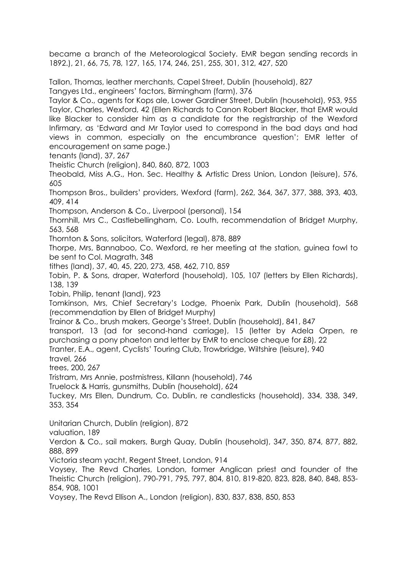became a branch of the Meteorological Society. EMR began sending records in 1892.), 21, 66, 75, 78, 127, 165, 174, 246, 251, 255, 301, 312, 427, 520

Tallon, Thomas, leather merchants, Capel Street, Dublin (household), 827 Tangyes Ltd., engineers' factors, Birmingham (farm), 376

Taylor & Co., agents for Kops ale, Lower Gardiner Street, Dublin (household), 953, 955 Taylor, Charles, Wexford, 42 (Ellen Richards to Canon Robert Blacker, that EMR would like Blacker to consider him as a candidate for the registrarship of the Wexford Infirmary, as 'Edward and Mr Taylor used to correspond in the bad days and had views in common, especially on the encumbrance question'; EMR letter of encouragement on same page.)

tenants (land), 37, 267

Theistic Church (religion), 840, 860, 872, 1003

Theobald, Miss A.G., Hon. Sec. Healthy & Artistic Dress Union, London (leisure), 576, 605

Thompson Bros., builders' providers, Wexford (farm), 262, 364, 367, 377, 388, 393, 403, 409, 414

Thompson, Anderson & Co., Liverpool (personal), 154

Thornhill, Mrs C., Castlebellingham, Co. Louth, recommendation of Bridget Murphy, 563, 568

Thornton & Sons, solicitors, Waterford (legal), 878, 889

Thorpe, Mrs, Bannaboo, Co. Wexford, re her meeting at the station, guinea fowl to be sent to Col. Magrath, 348

tithes (land), 37, 40, 45, 220, 273, 458, 462, 710, 859

Tobin, P. & Sons, draper, Waterford (household), 105, 107 (letters by Ellen Richards), 138, 139

Tobin, Philip, tenant (land), 923

Tomkinson, Mrs, Chief Secretary's Lodge, Phoenix Park, Dublin (household), 568 (recommendation by Ellen of Bridget Murphy)

Trainor & Co., brush makers, George's Street, Dublin (household), 841, 847

transport, 13 (ad for second-hand carriage), 15 (letter by Adela Orpen, re purchasing a pony phaeton and letter by EMR to enclose cheque for £8), 22

Tranter, E.A., agent, Cyclists' Touring Club, Trowbridge, Wiltshire (leisure), 940

travel, 266

trees, 200, 267

Tristram, Mrs Annie, postmistress, Killann (household), 746

Truelock & Harris, gunsmiths, Dublin (household), 624

Tuckey, Mrs Ellen, Dundrum, Co. Dublin, re candlesticks (household), 334, 338, 349, 353, 354

Unitarian Church, Dublin (religion), 872

valuation, 189

Verdon & Co., sail makers, Burgh Quay, Dublin (household), 347, 350, 874, 877, 882, 888, 899

Victoria steam yacht, Regent Street, London, 914

Voysey, The Revd Charles, London, former Anglican priest and founder of the Theistic Church (religion), 790-791, 795, 797, 804, 810, 819-820, 823, 828, 840, 848, 853- 854, 908, 1001

Voysey, The Revd Ellison A., London (religion), 830, 837, 838, 850, 853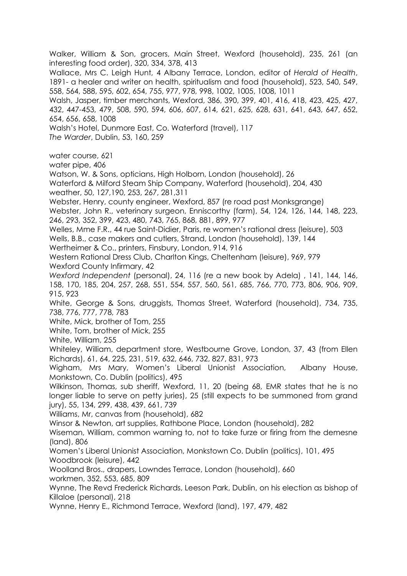Walker, William & Son, grocers, Main Street, Wexford (household), 235, 261 (an interesting food order), 320, 334, 378, 413 Wallace, Mrs C. Leigh Hunt, 4 Albany Terrace, London, editor of *Herald of Health*, 1891- a healer and writer on health, spiritualism and food (household), 523, 540, 549, 558, 564, 588, 595, 602, 654, 755, 977, 978, 998, 1002, 1005, 1008, 1011 Walsh, Jasper, timber merchants, Wexford, 386, 390, 399, 401, 416, 418, 423, 425, 427, 432, 447-453, 479, 508, 590, 594, 606, 607, 614, 621, 625, 628, 631, 641, 643, 647, 652, 654, 656, 658, 1008 Walsh's Hotel, Dunmore East, Co. Waterford (travel), 117 *The Warder*, Dublin, 53, 160, 259 water course, 621 water pipe, 406 Watson, W. & Sons, opticians, High Holborn, London (household), 26 Waterford & Milford Steam Ship Company, Waterford (household), 204, 430 weather, 50, 127,190, 253, 267, 281,311 Webster, Henry, county engineer, Wexford, 857 (re road past Monksgrange) Webster, John R., veterinary surgeon, Enniscorthy (farm), 54, 124, 126, 144, 148, 223, 246, 293, 352, 399, 423, 480, 743, 765, 868, 881, 899, 977 Welles, Mme F.R., 44 rue Saint-Didier, Paris, re women's rational dress (leisure), 503 Wells, B.B., case makers and cutlers, Strand, London (household), 139, 144 Wertheimer & Co., printers, Finsbury, London, 914, 916 Western Rational Dress Club, Charlton Kings, Cheltenham (leisure), 969, 979 Wexford County Infirmary, 42 *Wexford Independent* (personal), 24, 116 (re a new book by Adela) , 141, 144, 146, 158, 170, 185, 204, 257, 268, 551, 554, 557, 560, 561, 685, 766, 770, 773, 806, 906, 909, 915, 923 White, George & Sons, druggists, Thomas Street, Waterford (household), 734, 735, 738, 776, 777, 778, 783 White, Mick, brother of Tom, 255 White, Tom, brother of Mick, 255 White, William, 255 Whiteley, William, department store, Westbourne Grove, London, 37, 43 (from Ellen Richards), 61, 64, 225, 231, 519, 632, 646, 732, 827, 831, 973 Wigham, Mrs Mary, Women's Liberal Unionist Association, Albany House, Monkstown, Co. Dublin (politics), 495 Wilkinson, Thomas, sub sheriff, Wexford, 11, 20 (being 68, EMR states that he is no longer liable to serve on petty juries), 25 (still expects to be summoned from grand jury), 55, 134, 299, 438, 439, 661, 739 Williams, Mr, canvas from (household), 682 Winsor & Newton, art supplies, Rathbone Place, London (household), 282 Wiseman, William, common warning to, not to take furze or firing from the demesne (land), 806 Women's Liberal Unionist Association, Monkstown Co. Dublin (politics), 101, 495 Woodbrook (leisure), 442 Woolland Bros., drapers, Lowndes Terrace, London (household), 660 workmen, 352, 553, 685, 809 Wynne, The Revd Frederick Richards, Leeson Park, Dublin, on his election as bishop of Killaloe (personal), 218 Wynne, Henry E., Richmond Terrace, Wexford (land), 197, 479, 482